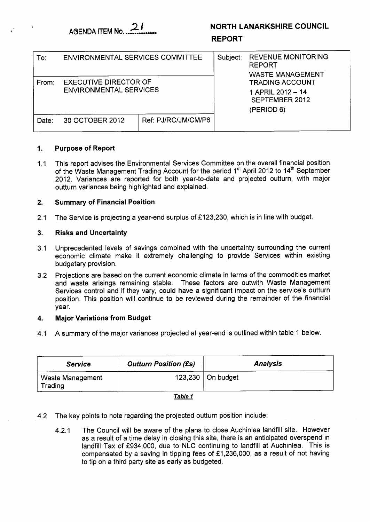# **NORTH LANARKSHIRE COUNCIL**

## **REPORT**

| To:   | <b>ENVIRONMENTAL SERVICES COMMITTEE</b>                       |                     | Subject: | <b>REVENUE MONITORING</b><br><b>REPORT</b><br><b>WASTE MANAGEMENT</b>       |
|-------|---------------------------------------------------------------|---------------------|----------|-----------------------------------------------------------------------------|
| From: | <b>EXECUTIVE DIRECTOR OF</b><br><b>ENVIRONMENTAL SERVICES</b> |                     |          | <b>TRADING ACCOUNT</b><br>1 APRIL 2012 - 14<br>SEPTEMBER 2012<br>(PERIOD 6) |
| Date: | 30 OCTOBER 2012                                               | Ref: PJ/RC/JM/CM/P6 |          |                                                                             |

## **1. Purpose of Report**

1.1 This report advises the Environmental Services Committee on the overall financial position of the Waste Management Trading Account for the period 1<sup>st</sup> April 2012 to 14<sup>th</sup> September 2012. Variances are reported for both year-to-date and projected outturn, with major outturn variances being highlighted and explained.

#### **2. Summary of Financial Position**

2.1 The Service is projecting a year-end surplus of  $£123,230$ , which is in line with budget.

### **3. Risks and Uncertainty**

- 3.1 Unprecedented levels of savings combined with the uncertainty surrounding the current economic climate make it extremely challenging to provide Services within existing budgetary provision.
- 3.2 Projections are based on the current economic climate in terms of the commodities market and waste arisings remaining stable. These factors are outwith Waste Management Services control and if they vary, could have a significant impact on the service's outturn position. This position will continue to be reviewed during the remainder of the financial year.

#### **4. Major Variations from Budget**

4.1 A summary of the major variances projected at year-end is outlined within table I below.

| <b>Analysis</b> |  |  |  |
|-----------------|--|--|--|
|                 |  |  |  |
|                 |  |  |  |

### <u>Table 1</u>

- 4.2 The key points to note regarding the projected outturn position include:
	- 4.2.1 The Council will be aware of the plans to close Auchinlea landfill site. However as a result of a time delay in closing this site, there is an anticipated overspend in landfill Tax of £934,000, due to NLC continuing to landfill at Auchinlea. This is compensated by a saving in tipping fees of  $£1,236,000$ , as a result of not having to tip on a third party site as early as budgeted.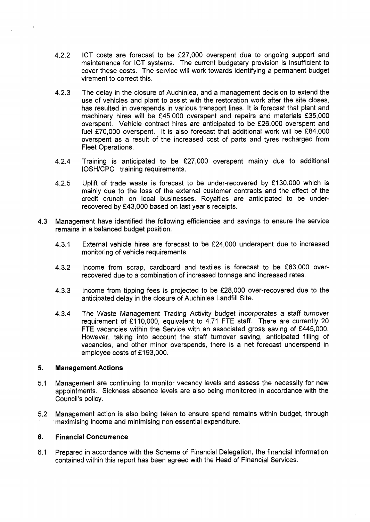- 4.2.2 ICT costs are forecast to be f27,000 overspent due to ongoing support and maintenance for ICT systems. The current budgetary provision is insufficient to cover these costs. The service will work towards identifying a permanent budget virement to correct this.
- 4.2.3 The delay in the closure of Auchinlea, and a management decision to extend the use of vehicles and plant to assist with the restoration work after the site closes, has resulted in overspends in various transport lines. It is forecast that plant and machinery hires will be £45,000 overspent and repairs and materials £35,000 overspent. Vehicle contract hires are anticipated to be f26,000 overspent and fuel £70,000 overspent. It is also forecast that additional work will be £84,000 overspent as a result of the increased cost of parts and tyres recharged from **Fleet Operations.**
- 4.2.4 Training is anticipated to be f27,000 overspent mainly due to additional IOSH/CPC training requirements.
- 4.2.5 Uplift of trade waste is forecast to be under-recovered by £130,000 which is mainly due to the loss of the external customer contracts and the effect of the credit crunch on local businesses. Royalties are anticipated to be underrecovered by f43,000 based on last year's receipts.
- 4.3 Management have identified the following efficiencies and savings to ensure the service remains in a balanced budget position:
	- 4.3.1 External vehicle hires are forecast to be f24,000 underspent due to increased monitoring of vehicle requirements.
	- 4.3.2 Income from scrap, cardboard and textiles is forecast to be f83,000 overrecovered due to a combination of increased tonnage and increased rates.
	- 4.3.3 Income from tipping fees is projected to be f28,000 over-recovered due to the anticipated delay in the closure of Auchinlea Landfill Site.
	- 4.3.4 The Waste Management Trading Activity budget incorporates a staff turnover requirement of £110,000, equivalent to 4.71 FTE staff. There are currently 20 FTE vacancies within the Service with an associated gross saving of f445,OOO. However, taking into account the staff turnover saving, anticipated filling of vacancies, and other minor overspends, there is a net forecast underspend in employee costs of £193,000.

#### **5. Management Actions**

- 5.1 Management are continuing to monitor vacancy levels and assess the necessity for new appointments. Sickness absence levels are also being monitored in accordance with the Council's policy.
- 5.2 Management action is also being taken to ensure spend remains within budget, through maximising income and minimising non essential expenditure.

#### **6. Financial Concurrence**

6.1 Prepared in accordance with the Scheme of Financial Delegation, the financial information contained within this report has been agreed with the Head of Financial Services.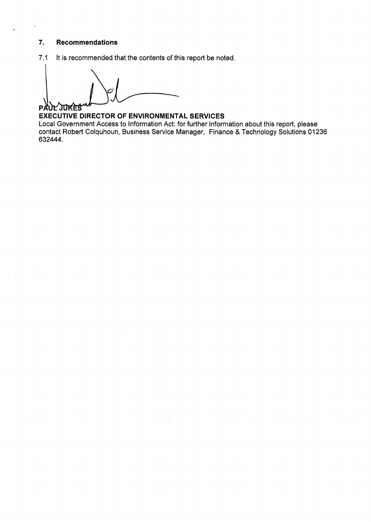### **7. Recommendations**

 $\bar{\mathbf{t}}$ 

7.1 It is recommended that the contents of this report be noted.

**PAUL JUKES** 

**EXECUTIVE DIRECTOR OF ENVIRONMENTAL SERVICES**  Local Government Access to Information Act: for further information about this report, please contact Robert Colquhoun, Business Service Manager, Finance *8,* Technology Solutions 01 **236 632444.**